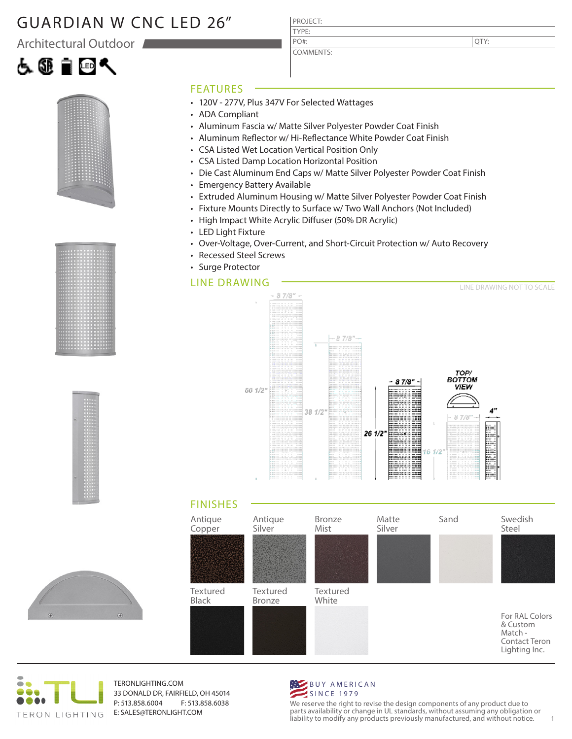## GUARDIAN W CNC LED 26"

Architectural Outdoor









### FEATURES

- 120V 277V, Plus 347V For Selected Wattages
- ADA Compliant
- Aluminum Fascia w/ Matte Silver Polyester Powder Coat Finish

PROJECT: TYPE:

PO#:

COMMENTS:

- Aluminum Reflector w/ Hi-Reflectance White Powder Coat Finish
- CSA Listed Wet Location Vertical Position Only
- CSA Listed Damp Location Horizontal Position
- Die Cast Aluminum End Caps w/ Matte Silver Polyester Powder Coat Finish
- Emergency Battery Available
- Extruded Aluminum Housing w/ Matte Silver Polyester Powder Coat Finish
- Fixture Mounts Directly to Surface w/ Two Wall Anchors (Not Included)
- High Impact White Acrylic Diffuser (50% DR Acrylic)
- LED Light Fixture
- Over-Voltage, Over-Current, and Short-Circuit Protection w/ Auto Recovery
- Recessed Steel Screws
- Surge Protector

### LINE DRAWING







TERONLIGHTING.COM 33 DONALD DR, FAIRFIELD, OH 45014 P: 513.858.6004 F: 513.858.6038 E: SALES@TERONLIGHT.COM



We reserve the right to revise the design components of any product due to parts availability or change in UL standards, without assuming any obligation or liability to modify any products previously manufactured, and without notice. 1

QTY: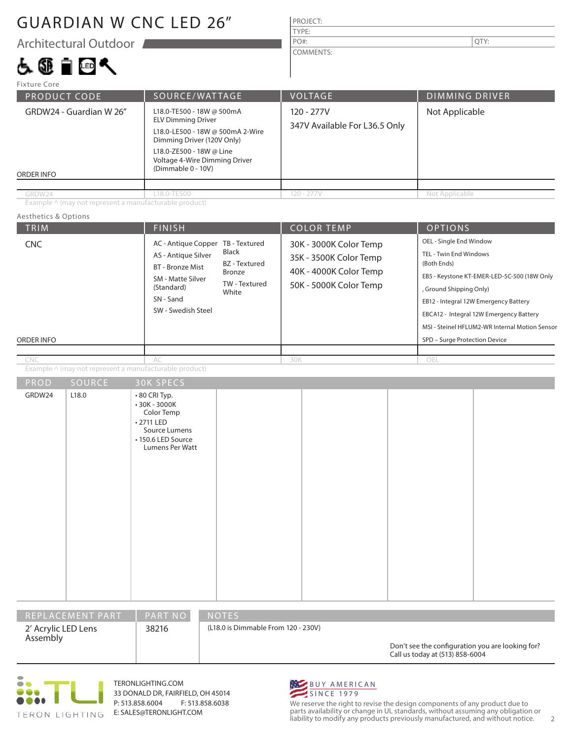# GUARDIAN W CNC LED 26"

Architectural Outdoor

# 占领自回气

Aesthetics & Options

| PROJECT:         |      |
|------------------|------|
| TYPE:            |      |
| $PO#$ :          | QTY: |
| <b>COMMENTS:</b> |      |

PRODUCT CODE SOURCE/WATTAGE VOLTAGE DIMMING DRIVER ORDER INFO Fixture Core GRDW24 - Guardian W 26" L18.0-TE500 - 18W @ 500mA ELV Dimming Driver L18.0-LE500 - 18W @ 500mA 2-Wire Dimming Driver (120V Only) L18.0-ZE500 - 18W @ Line Voltage 4-Wire Dimming Driver (Dimmable 0 - 10V) 120 - 277V 347V Available For L36.5 Only GRDW24 L18.0-TE500 120 - 277V Not Applicable Not Applicable

Example ^ (may not represent a manufacturable product)

#### TRIM  $\vert$  Finish  $\vert$  Color Temp  $\vert$  Options ORDER INFO PROD SOURCE Example ^ (may not represent a manufacturable product) OEL - Single End Window TEL - Twin End Windows (Both Ends) EB5 - Keystone KT-EMER-LED-5C-500 (18W Only , Ground Shipping Only) EB12 - Integral 12W Emergency Battery EBCA12 - Integral 12W Emergency Battery MSI - Steinel HFLUM2-WR Internal Motion Sensor SPD – Surge Protection Device 30K SPECS GRDW24 | L18.0 • 80 CRI Typ. • 30K - 3000K Color Temp • 2711 LED 30K - 3000K Color Temp 35K - 3500K Color Temp 40K - 4000K Color Temp 50K - 5000K Color Temp AC 30K AC - Antique Copper TB - Textured AS - Antique Silver BT - Bronze Mist SM - Matte Silver (Standard) SN - Sand SW - Swedish Steel Black BZ - Textured Bronze TW - Textured **White CNC** CNC

|                  | $\cdot$ 30K - 3000K<br>Color Temp<br>$\cdot$ 2711 LED<br>Source Lumens<br>• 150.6 LED Source<br>Lumens Per Watt |       |  |  |
|------------------|-----------------------------------------------------------------------------------------------------------------|-------|--|--|
|                  |                                                                                                                 |       |  |  |
|                  |                                                                                                                 |       |  |  |
| REPLACEMENT PART | PART NO                                                                                                         | NOTES |  |  |

Assembly

38216

2' Acrylic LED Lens 28216 (L18.0 is Dimmable From 120 - 230V)

Don't see the configuration you are looking for? Call us today at (513) 858-6004



TERONLIGHTING.COM 33 DONALD DR, FAIRFIELD, OH 45014 P: 513.858.6004 F: 513.858.6038 E: SALES@TERONLIGHT.COM



We reserve the right to revise the design components of any product due to parts availability or change in UL standards, without assuming any obligation or liability to modify any products previously manufactured, and without notice. 2